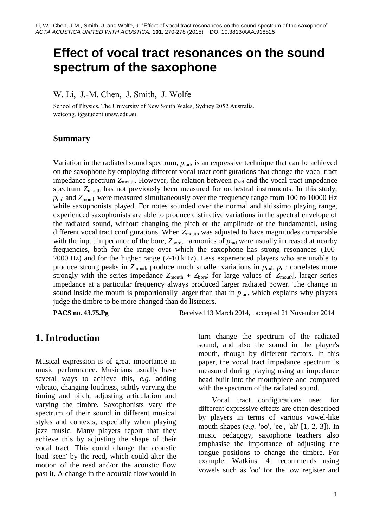# **Effect of vocal tract resonances on the sound spectrum of the saxophone**

W. Li, J.-M. Chen, J. Smith, J. Wolfe

School of Physics, The University of New South Wales, Sydney 2052 Australia. weicong.li@student.unsw.edu.au

#### **Summary**

Variation in the radiated sound spectrum,  $p_{rad}$ , is an expressive technique that can be achieved on the saxophone by employing different vocal tract configurations that change the vocal tract impedance spectrum  $Z_{\text{mouth}}$ . However, the relation between  $p_{\text{rad}}$  and the vocal tract impedance spectrum  $Z_{\text{mouth}}$  has not previously been measured for orchestral instruments. In this study, *p*<sub>rad</sub> and  $Z_{\text{mouth}}$  were measured simultaneously over the frequency range from 100 to 10000 Hz while saxophonists played. For notes sounded over the normal and altissimo playing range, experienced saxophonists are able to produce distinctive variations in the spectral envelope of the radiated sound, without changing the pitch or the amplitude of the fundamental, using different vocal tract configurations. When  $Z_{\text{mouth}}$  was adjusted to have magnitudes comparable with the input impedance of the bore,  $Z_{\text{bore}}$ , harmonics of  $p_{\text{rad}}$  were usually increased at nearby frequencies, both for the range over which the saxophone has strong resonances (100- 2000 Hz) and for the higher range (2-10 kHz). Less experienced players who are unable to produce strong peaks in  $Z_{\text{mouth}}$  produce much smaller variations in  $p_{\text{rad}}$ .  $p_{\text{rad}}$  correlates more strongly with the series impedance  $Z_{\text{mouth}} + Z_{\text{bore}}$ : for large values of  $|Z_{\text{mouth}}|$ , larger series impedance at a particular frequency always produced larger radiated power. The change in sound inside the mouth is proportionally larger than that in  $p_{rad}$ , which explains why players judge the timbre to be more changed than do listeners.

**PACS no. 43.75.Pg** Received 13 March 2014, accepted 21 November 2014

### **1. Introduction**

Musical expression is of great importance in music performance. Musicians usually have several ways to achieve this, *e.g.* adding vibrato, changing loudness, subtly varying the timing and pitch, adjusting articulation and varying the timbre. Saxophonists vary the spectrum of their sound in different musical styles and contexts, especially when playing jazz music. Many players report that they achieve this by adjusting the shape of their vocal tract. This could change the acoustic load 'seen' by the reed, which could alter the motion of the reed and/or the acoustic flow past it. A change in the acoustic flow would in

turn change the spectrum of the radiated sound, and also the sound in the player's mouth, though by different factors. In this paper, the vocal tract impedance spectrum is measured during playing using an impedance head built into the mouthpiece and compared with the spectrum of the radiated sound.

Vocal tract configurations used for different expressive effects are often described by players in terms of various vowel-like mouth shapes (*e.g.* 'oo', 'ee', 'ah' [1, 2, 3]). In music pedagogy, saxophone teachers also emphasise the importance of adjusting the tongue positions to change the timbre. For example, Watkins [4] recommends using vowels such as 'oo' for the low register and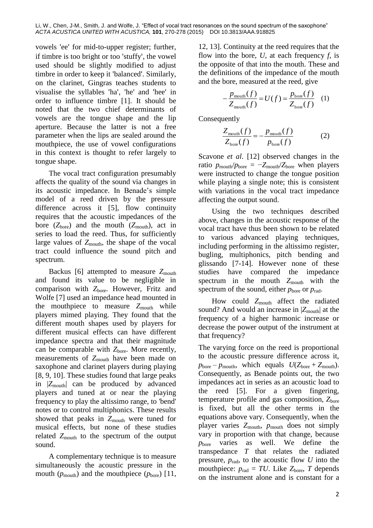vowels 'ee' for mid-to-upper register; further, if timbre is too bright or too 'stuffy', the vowel used should be slightly modified to adjust timbre in order to keep it 'balanced'. Similarly, on the clarinet, Gingras teaches students to visualise the syllables 'ha', 'he' and 'hee' in order to influence timbre [1]. It should be noted that the two chief determinants of vowels are the tongue shape and the lip aperture. Because the latter is not a free parameter when the lips are sealed around the mouthpiece, the use of vowel configurations in this context is thought to refer largely to tongue shape.

The vocal tract configuration presumably affects the quality of the sound via changes in its acoustic impedance. In Benade's simple model of a reed driven by the pressure difference across it [5], flow continuity requires that the acoustic impedances of the bore  $(Z_{\text{bore}})$  and the mouth  $(Z_{\text{mouth}})$ , act in series to load the reed. Thus, for sufficiently large values of  $Z_{\text{mouth}}$ , the shape of the vocal tract could influence the sound pitch and spectrum.

Backus [6] attempted to measure  $Z_{\text{mouth}}$ and found its value to be negligible in comparison with Z<sub>bore</sub>. However, Fritz and Wolfe [7] used an impedance head mounted in the mouthpiece to measure Z<sub>mouth</sub> while players mimed playing. They found that the different mouth shapes used by players for different musical effects can have different impedance spectra and that their magnitude can be comparable with  $Z_{\text{bore}}$ . More recently, measurements of Z<sub>mouth</sub> have been made on saxophone and clarinet players during playing [8, 9, 10]. These studies found that large peaks in |*Z*mouth| can be produced by advanced players and tuned at or near the playing frequency to play the altissimo range, to 'bend' notes or to control multiphonics. These results showed that peaks in  $Z_{\text{mouth}}$  were tuned for musical effects, but none of these studies related  $Z_{\text{mouth}}$  to the spectrum of the output sound.

A complementary technique is to measure simultaneously the acoustic pressure in the mouth  $(p_{\text{mouth}})$  and the mouthpiece  $(p_{\text{bore}})$  [11, 12, 13]. Continuity at the reed requires that the flow into the bore, *U*, at each frequency *f*, is the opposite of that into the mouth. These and the definitions of the impedance of the mouth and the bore, measured at the reed, give

$$
-\frac{p_{\text{mouth}}(f)}{Z_{\text{mouth}}(f)} = U(f) = \frac{p_{\text{bone}}(f)}{Z_{\text{bone}}(f)} \quad (1)
$$

Consequently

$$
\frac{Z_{\text{mouth}}(f)}{Z_{\text{bore}}(f)} = -\frac{p_{\text{mouth}}(f)}{p_{\text{bore}}(f)}
$$
(2)

Scavone *et al*. [12] observed changes in the ratio  $p_{\text{mouth}}/p_{\text{bore}} = -Z_{\text{mouth}}/Z_{\text{bore}}$  when players were instructed to change the tongue position while playing a single note; this is consistent with variations in the vocal tract impedance affecting the output sound.

Using the two techniques described above, changes in the acoustic response of the vocal tract have thus been shown to be related to various advanced playing techniques, including performing in the altissimo register, bugling, multiphonics, pitch bending and glissando [7-14]. However none of these studies have compared the impedance spectrum in the mouth  $Z_{\text{mouth}}$  with the spectrum of the sound, either  $p_{\text{bore}}$  or  $p_{\text{rad}}$ .

How could Z<sub>mouth</sub> affect the radiated sound? And would an increase in  $|Z_{\text{mouth}}|$  at the frequency of a higher harmonic increase or decrease the power output of the instrument at that frequency?

The varying force on the reed is proportional to the acoustic pressure difference across it,  $p_{\text{bore}} - p_{\text{mouth}}$ , which equals  $U(Z_{\text{bore}} + Z_{\text{mouth}})$ . Consequently, as Benade points out, the two impedances act in series as an acoustic load to the reed [5]. For a given fingering, temperature profile and gas composition, Z<sub>bore</sub> is fixed, but all the other terms in the equations above vary. Consequently, when the player varies  $Z_{\text{mouth}}$ ,  $p_{\text{mouth}}$  does not simply vary in proportion with that change, because *p*<sub>bore</sub> varies as well. We define the transpedance *T* that relates the radiated pressure,  $p_{rad}$ , to the acoustic flow *U* into the mouthpiece:  $p_{rad} = TU$ . Like  $Z_{bore}$ , *T* depends on the instrument alone and is constant for a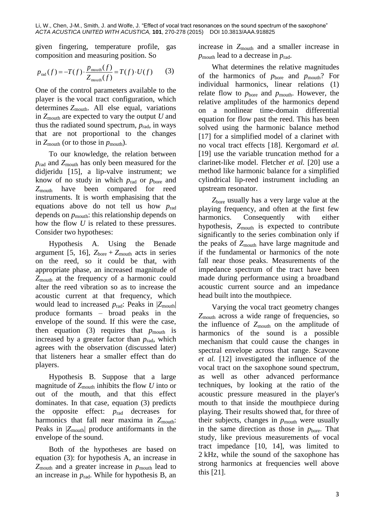given fingering, temperature profile, gas composition and measuring position. So

$$
p_{\text{rad}}(f) = -T(f) \cdot \frac{p_{\text{mouth}}(f)}{Z_{\text{mouth}}(f)} = T(f) \cdot U(f) \tag{3}
$$

One of the control parameters available to the player is the vocal tract configuration, which determines *Z*mouth. All else equal, variations in *Z*mouth are expected to vary the output *U* and thus the radiated sound spectrum,  $p_{rad}$ , in ways that are not proportional to the changes in  $Z_{\text{mouth}}$  (or to those in  $p_{\text{mouth}}$ ).

To our knowledge, the relation between *p*rad and *Z*mouth has only been measured for the didjeridu [15], a lip-valve instrument; we know of no study in which  $p_{rad}$  or  $p_{bore}$  and *Z*mouth have been compared for reed instruments. It is worth emphasising that the equations above do not tell us how *p*rad depends on  $p_{\text{mouth}}$ : this relationship depends on how the flow *U* is related to these pressures. Consider two hypotheses:

Hypothesis A. Using the Benade argument [5, 16],  $Z_{\text{bore}} + Z_{\text{mouth}}$  acts in series on the reed, so it could be that, with appropriate phase, an increased magnitude of *Z*mouth at the frequency of a harmonic could alter the reed vibration so as to increase the acoustic current at that frequency, which would lead to increased *p*rad: Peaks in |*Z*mouth| produce formants – broad peaks in the envelope of the sound. If this were the case, then equation (3) requires that  $p_{\text{mouth}}$  is increased by a greater factor than  $p_{rad}$ , which agrees with the observation (discussed later) that listeners hear a smaller effect than do players.

Hypothesis B. Suppose that a large magnitude of  $Z_{\text{mouth}}$  inhibits the flow *U* into or out of the mouth, and that this effect dominates. In that case, equation (3) predicts the opposite effect: *p*rad decreases for harmonics that fall near maxima in  $Z_{\text{mouth}}$ : Peaks in  $|Z_{\text{mouth}}|$  produce antiformants in the envelope of the sound.

Both of the hypotheses are based on equation (3): for hypothesis A, an increase in  $Z_{\text{mouth}}$  and a greater increase in  $p_{\text{mouth}}$  lead to an increase in  $p_{rad}$ . While for hypothesis B, an

increase in  $Z_{\text{mouth}}$  and a smaller increase in  $p_{\text{mouth}}$  lead to a decrease in  $p_{\text{rad}}$ .

What determines the relative magnitudes of the harmonics of *p*bore and *p*mouth? For individual harmonics, linear relations (1) relate flow to  $p_{\text{bore}}$  and  $p_{\text{mouth}}$ . However, the relative amplitudes of the harmonics depend on a nonlinear time-domain differential equation for flow past the reed. This has been solved using the harmonic balance method [17] for a simplified model of a clarinet with no vocal tract effects [18]. Kergomard *et al.* [19] use the variable truncation method for a clarinet-like model. Fletcher *et al.* [20] use a method like harmonic balance for a simplified cylindrical lip-reed instrument including an upstream resonator.

*Z*bore usually has a very large value at the playing frequency, and often at the first few harmonics. Consequently with either hypothesis,  $Z_{\text{mouth}}$  is expected to contribute significantly to the series combination only if the peaks of *Z*mouth have large magnitude and if the fundamental or harmonics of the note fall near those peaks. Measurements of the impedance spectrum of the tract have been made during performance using a broadband acoustic current source and an impedance head built into the mouthpiece.

Varying the vocal tract geometry changes *Z*mouth across a wide range of frequencies, so the influence of  $Z_{\text{mouth}}$  on the amplitude of harmonics of the sound is a possible mechanism that could cause the changes in spectral envelope across that range. Scavone *et al.* [12] investigated the influence of the vocal tract on the saxophone sound spectrum, as well as other advanced performance techniques, by looking at the ratio of the acoustic pressure measured in the player's mouth to that inside the mouthpiece during playing. Their results showed that, for three of their subjects, changes in  $p_{\text{mouth}}$  were usually in the same direction as those in  $p_{\text{bore}}$ . That study, like previous measurements of vocal tract impedance [10, 14], was limited to 2 kHz, while the sound of the saxophone has strong harmonics at frequencies well above this [21].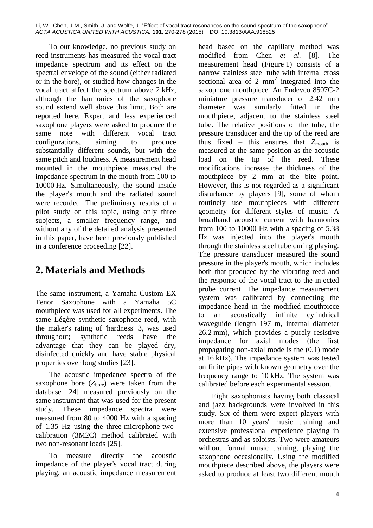To our knowledge, no previous study on reed instruments has measured the vocal tract impedance spectrum and its effect on the spectral envelope of the sound (either radiated or in the bore), or studied how changes in the vocal tract affect the spectrum above 2 kHz, although the harmonics of the saxophone sound extend well above this limit. Both are reported here. Expert and less experienced saxophone players were asked to produce the same note with different vocal tract configurations, aiming to produce substantially different sounds, but with the same pitch and loudness. A measurement head mounted in the mouthpiece measured the impedance spectrum in the mouth from 100 to 10000 Hz. Simultaneously, the sound inside the player's mouth and the radiated sound were recorded. The preliminary results of a pilot study on this topic, using only three subjects, a smaller frequency range, and without any of the detailed analysis presented in this paper, have been previously published in a conference proceeding [22].

# **2. Materials and Methods**

The same instrument, a Yamaha Custom EX Tenor Saxophone with a Yamaha 5C mouthpiece was used for all experiments. The same Légère synthetic saxophone reed, with the maker's rating of 'hardness' 3, was used throughout; synthetic reeds have the advantage that they can be played dry, disinfected quickly and have stable physical properties over long studies [23].

The acoustic impedance spectra of the saxophone bore  $(Z<sub>bare</sub>)$  were taken from the database [24] measured previously on the same instrument that was used for the present study. These impedance spectra were measured from 80 to 4000 Hz with a spacing of 1.35 Hz using the three-microphone-twocalibration (3M2C) method calibrated with two non-resonant loads [25].

To measure directly the acoustic impedance of the player's vocal tract during playing, an acoustic impedance measurement

head based on the capillary method was modified from Chen *et al.* [8]. The measurement head (Figure 1) consists of a narrow stainless steel tube with internal cross sectional area of 2  $mm<sup>2</sup>$  integrated into the saxophone mouthpiece. An Endevco 8507C-2 miniature pressure transducer of 2.42 mm diameter was similarly fitted in the mouthpiece, adjacent to the stainless steel tube. The relative positions of the tube, the pressure transducer and the tip of the reed are thus fixed – this ensures that  $Z_{\text{mouth}}$  is measured at the same position as the acoustic load on the tip of the reed. These modifications increase the thickness of the mouthpiece by 2 mm at the bite point. However, this is not regarded as a significant disturbance by players [9], some of whom routinely use mouthpieces with different geometry for different styles of music. A broadband acoustic current with harmonics from 100 to 10000 Hz with a spacing of 5.38 Hz was injected into the player's mouth through the stainless steel tube during playing. The pressure transducer measured the sound pressure in the player's mouth, which includes both that produced by the vibrating reed and the response of the vocal tract to the injected probe current. The impedance measurement system was calibrated by connecting the impedance head in the modified mouthpiece to an acoustically infinite cylindrical waveguide (length 197 m, internal diameter 26.2 mm), which provides a purely resistive impedance for axial modes (the first propagating non-axial mode is the (0,1) mode at 16 kHz). The impedance system was tested on finite pipes with known geometry over the frequency range to 10 kHz. The system was calibrated before each experimental session.

Eight saxophonists having both classical and jazz backgrounds were involved in this study. Six of them were expert players with more than 10 years' music training and extensive professional experience playing in orchestras and as soloists. Two were amateurs without formal music training, playing the saxophone occasionally. Using the modified mouthpiece described above, the players were asked to produce at least two different mouth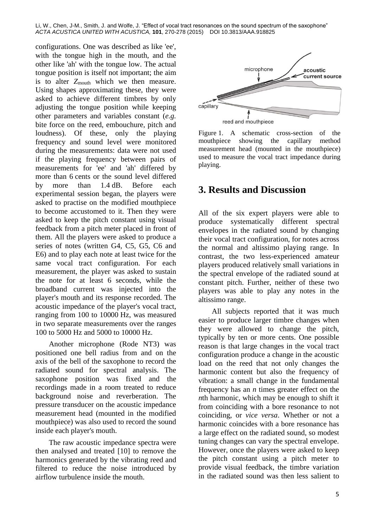configurations. One was described as like 'ee', with the tongue high in the mouth, and the other like 'ah' with the tongue low. The actual tongue position is itself not important; the aim is to alter  $Z_{\text{mouth}}$  which we then measure. Using shapes approximating these, they were asked to achieve different timbres by only adjusting the tongue position while keeping other parameters and variables constant (*e.g.* bite force on the reed, embouchure, pitch and loudness). Of these, only the playing frequency and sound level were monitored during the measurements: data were not used if the playing frequency between pairs of measurements for 'ee' and 'ah' differed by more than 6 cents or the sound level differed by more than 1.4 dB. Before each experimental session began, the players were asked to practise on the modified mouthpiece to become accustomed to it. Then they were asked to keep the pitch constant using visual feedback from a pitch meter placed in front of them. All the players were asked to produce a series of notes (written G4, C5, G5, C6 and E6) and to play each note at least twice for the same vocal tract configuration. For each measurement, the player was asked to sustain the note for at least 6 seconds, while the broadband current was injected into the player's mouth and its response recorded. The acoustic impedance of the player's vocal tract, ranging from 100 to 10000 Hz, was measured in two separate measurements over the ranges 100 to 5000 Hz and 5000 to 10000 Hz.

Another microphone (Rode NT3) was positioned one bell radius from and on the axis of the bell of the saxophone to record the radiated sound for spectral analysis. The saxophone position was fixed and the recordings made in a room treated to reduce background noise and reverberation. The pressure transducer on the acoustic impedance measurement head (mounted in the modified mouthpiece) was also used to record the sound inside each player's mouth.

The raw acoustic impedance spectra were then analysed and treated [10] to remove the harmonics generated by the vibrating reed and filtered to reduce the noise introduced by airflow turbulence inside the mouth.



Figure 1. A schematic cross-section of the mouthpiece showing the capillary method measurement head (mounted in the mouthpiece) used to measure the vocal tract impedance during

#### **3. Results and Discussion**

playing.

All of the six expert players were able to produce systematically different spectral envelopes in the radiated sound by changing their vocal tract configuration, for notes across the normal and altissimo playing range. In contrast, the two less-experienced amateur players produced relatively small variations in the spectral envelope of the radiated sound at constant pitch. Further, neither of these two players was able to play any notes in the altissimo range.

All subjects reported that it was much easier to produce larger timbre changes when they were allowed to change the pitch, typically by ten or more cents. One possible reason is that large changes in the vocal tract configuration produce a change in the acoustic load on the reed that not only changes the harmonic content but also the frequency of vibration: a small change in the fundamental frequency has an *n* times greater effect on the *n*th harmonic, which may be enough to shift it from coinciding with a bore resonance to not coinciding, or *vice versa*. Whether or not a harmonic coincides with a bore resonance has a large effect on the radiated sound, so modest tuning changes can vary the spectral envelope. However, once the players were asked to keep the pitch constant using a pitch meter to provide visual feedback, the timbre variation in the radiated sound was then less salient to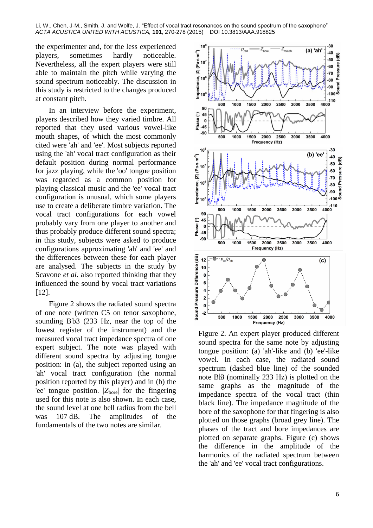the experimenter and, for the less experienced players, sometimes hardly noticeable. Nevertheless, all the expert players were still able to maintain the pitch while varying the sound spectrum noticeably. The discussion in this study is restricted to the changes produced at constant pitch.

In an interview before the experiment, players described how they varied timbre. All reported that they used various vowel-like mouth shapes, of which the most commonly cited were 'ah' and 'ee'. Most subjects reported using the 'ah' vocal tract configuration as their default position during normal performance for jazz playing, while the 'oo' tongue position was regarded as a common position for playing classical music and the 'ee' vocal tract configuration is unusual, which some players use to create a deliberate timbre variation. The vocal tract configurations for each vowel probably vary from one player to another and thus probably produce different sound spectra; in this study, subjects were asked to produce configurations approximating 'ah' and 'ee' and the differences between these for each player are analysed. The subjects in the study by Scavone *et al.* also reported thinking that they influenced the sound by vocal tract variations [12].

Figure 2 shows the radiated sound spectra of one note (written C5 on tenor saxophone, sounding Bb3 (233 Hz, near the top of the lowest register of the instrument) and the measured vocal tract impedance spectra of one expert subject. The note was played with different sound spectra by adjusting tongue position: in (a), the subject reported using an 'ah' vocal tract configuration (the normal position reported by this player) and in (b) the 'ee' tongue position. |Z<sub>bore</sub>| for the fingering used for this note is also shown. In each case, the sound level at one bell radius from the bell was 107 dB. The amplitudes of the fundamentals of the two notes are similar.



Figure 2. An expert player produced different sound spectra for the same note by adjusting tongue position: (a) 'ah'-like and (b) 'ee'-like vowel. In each case, the radiated sound spectrum (dashed blue line) of the sounded note  $B\beta$  (nominally 233 Hz) is plotted on the same graphs as the magnitude of the impedance spectra of the vocal tract (thin black line). The impedance magnitude of the bore of the saxophone for that fingering is also plotted on those graphs (broad grey line). The phases of the tract and bore impedances are plotted on separate graphs. Figure (c) shows the difference in the amplitude of the harmonics of the radiated spectrum between the 'ah' and 'ee' vocal tract configurations.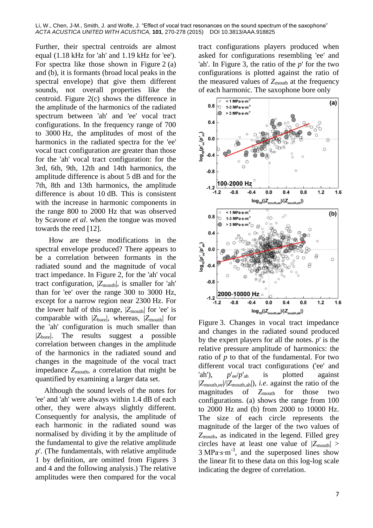Further, their spectral centroids are almost equal (1.18 kHz for 'ah' and 1.19 kHz for 'ee'). For spectra like those shown in Figure 2 (a) and (b), it is formants (broad local peaks in the spectral envelope) that give them different sounds, not overall properties like the centroid. Figure 2(c) shows the difference in the amplitude of the harmonics of the radiated spectrum between 'ah' and 'ee' vocal tract configurations. In the frequency range of 700 to 3000 Hz, the amplitudes of most of the harmonics in the radiated spectra for the 'ee' vocal tract configuration are greater than those for the 'ah' vocal tract configuration: for the 3rd, 6th, 9th, 12th and 14th harmonics, the amplitude difference is about 5 dB and for the 7th, 8th and 13th harmonics, the amplitude difference is about 10 dB. This is consistent with the increase in harmonic components in the range 800 to 2000 Hz that was observed by Scavone *et al*. when the tongue was moved towards the reed [12].

How are these modifications in the spectral envelope produced? There appears to be a correlation between formants in the radiated sound and the magnitude of vocal tract impedance. In Figure 2, for the 'ah' vocal tract configuration,  $|Z_{\text{mouth}}|$ , is smaller for 'ah' than for 'ee' over the range 300 to 3000 Hz, except for a narrow region near 2300 Hz. For the lower half of this range,  $|Z_{\text{mouth}}|$  for 'ee' is comparable with  $|Z_{\text{bore}}|$ , whereas,  $|Z_{\text{mouth}}|$  for the 'ah' configuration is much smaller than |*Z*bore|. The results suggest a possible correlation between changes in the amplitude of the harmonics in the radiated sound and changes in the magnitude of the vocal tract impedance  $Z_{\text{mouth}}$ , a correlation that might be quantified by examining a larger data set.

Although the sound levels of the notes for 'ee' and 'ah' were always within 1.4 dB of each other, they were always slightly different. Consequently for analysis, the amplitude of each harmonic in the radiated sound was normalised by dividing it by the amplitude of the fundamental to give the relative amplitude *p*'. (The fundamentals, with relative amplitude 1 by definition, are omitted from Figures 3 and 4 and the following analysis.) The relative amplitudes were then compared for the vocal

tract configurations players produced when asked for configurations resembling 'ee' and 'ah'. In Figure 3, the ratio of the *p*' for the two configurations is plotted against the ratio of the measured values of  $Z_{\text{mouth}}$  at the frequency of each harmonic. The saxophone bore only



Figure 3. Changes in vocal tract impedance and changes in the radiated sound produced by the expert players for all the notes. *p*' is the relative pressure amplitude of harmonics: the ratio of *p* to that of the fundamental. For two different vocal tract configurations ('ee' and 'ah'),  $p'_{ee}/p'_{ah}$  is plotted against |*Z*mouth,ee|/|*Z*mouth,ah|), *i.e*. against the ratio of the magnitudes of *Z*mouth for those two configurations. (a) shows the range from 100 to 2000 Hz and (b) from 2000 to 10000 Hz. The size of each circle represents the magnitude of the larger of the two values of *Z*mouth, as indicated in the legend. Filled grey circles have at least one value of  $|Z_{\text{mouth}}| >$ 3 MPa⋅s⋅m<sup>-3</sup>, and the superposed lines show the linear fit to these data on this log-log scale indicating the degree of correlation.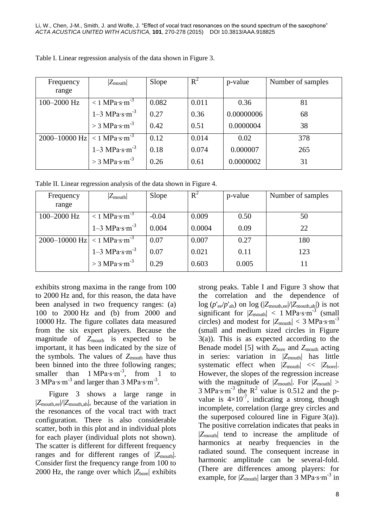| Frequency                                   | $ Z_{\text{mouth}} $                        | Slope | $R^2$ | p-value    | Number of samples |
|---------------------------------------------|---------------------------------------------|-------|-------|------------|-------------------|
| range                                       |                                             |       |       |            |                   |
| 100-2000 Hz                                 | $< 1$ MPa·s·m <sup>-3</sup>                 | 0.082 | 0.011 | 0.36       | 81                |
|                                             | $1-3$ MPa $\cdot$ s $\cdot$ m <sup>-3</sup> | 0.27  | 0.36  | 0.00000006 | 68                |
|                                             | $>$ 3 MPa·s·m <sup>-3</sup>                 | 0.42  | 0.51  | 0.0000004  | 38                |
| 2000–10000 Hz $ $ < 1 MPa·s·m <sup>-3</sup> |                                             | 0.12  | 0.014 | 0.02       | 378               |
|                                             | $1-3$ MPa $\cdot$ s $\cdot$ m <sup>-3</sup> | 0.18  | 0.074 | 0.000007   | 265               |
|                                             | $>$ 3 MPa·s·m <sup>-3</sup>                 | 0.26  | 0.61  | 0.0000002  | 31                |

Table I. Linear regression analysis of the data shown in Figure 3.

Table II. Linear regression analysis of the data shown in Figure 4.

| Frequency<br>range                          | $ Z_{\text{mouth}} $                        | Slope   | $R^2$  | p-value | Number of samples |
|---------------------------------------------|---------------------------------------------|---------|--------|---------|-------------------|
|                                             |                                             |         |        |         |                   |
| 100-2000 Hz                                 | $< 1$ MPa·s·m <sup>-3</sup>                 | $-0.04$ | 0.009  | 0.50    | 50                |
|                                             | $1-3$ MPa $\cdot$ s $\cdot$ m <sup>-3</sup> | 0.004   | 0.0004 | 0.09    | 22                |
| 2000–10000 Hz $ $ < 1 MPa·s·m <sup>-3</sup> |                                             | 0.07    | 0.007  | 0.27    | 180               |
|                                             | $1-3$ MPa $\cdot$ s $\cdot$ m <sup>-3</sup> | 0.07    | 0.021  | 0.11    | 123               |
|                                             | $>$ 3 MPa·s·m <sup>-3</sup>                 | 0.29    | 0.603  | 0.005   | 11                |

exhibits strong maxima in the range from 100 to 2000 Hz and, for this reason, the data have been analysed in two frequency ranges: (a) 100 to 2000 Hz and (b) from 2000 and 10000 Hz. The figure collates data measured from the six expert players. Because the magnitude of Z<sub>mouth</sub> is expected to be important, it has been indicated by the size of the symbols*.* The values of *Z*mouth have thus been binned into the three following ranges; smaller than  $1 \text{ MPa·s·m}^{-3}$ , from  $1 \text{ to}$ 3 MPa⋅s⋅m<sup>-3</sup> and larger than 3 MPa⋅s⋅m<sup>-3</sup>.

Figure 3 shows a large range in |*Z*mouth,ee|/|*Z*mouth,ah|, because of the variation in the resonances of the vocal tract with tract configuration. There is also considerable scatter, both in this plot and in individual plots for each player (individual plots not shown). The scatter is different for different frequency ranges and for different ranges of  $|Z_{\text{mouth}}|$ . Consider first the frequency range from 100 to 2000 Hz, the range over which  $|Z_{\text{bore}}|$  exhibits

strong peaks. Table I and Figure 3 show that the correlation and the dependence of log (*p*'ee/*p*'ah) on log (|*Z*mouth,ee|/|*Z*mouth,ah|) is not significant for  $|Z_{\text{mouth}}| < 1$  MPa⋅s⋅m<sup>-3</sup> (small circles) and modest for  $|Z_{\text{mouth}}| < 3$  MPa⋅s⋅m<sup>-3</sup> (small and medium sized circles in Figure 3(a)). This is as expected according to the Benade model [5] with  $Z_{\text{bore}}$  and  $Z_{\text{mouth}}$  acting in series: variation in |*Z*mouth| has little systematic effect when  $|Z_{\text{mouth}}| \ll |Z_{\text{bore}}|$ . However, the slopes of the regression increase with the magnitude of  $|Z_{\text{mouth}}|$ . For  $|Z_{\text{mouth}}| >$  $3 \text{ MPa·s·m}^{-3}$  the R<sup>2</sup> value is 0.512 and the pvalue is  $4\times10^{-7}$ , indicating a strong, though incomplete, correlation (large grey circles and the superposed coloured line in Figure  $3(a)$ ). The positive correlation indicates that peaks in |*Z*mouth| tend to increase the amplitude of harmonics at nearby frequencies in the radiated sound. The consequent increase in harmonic amplitude can be several-fold. (There are differences among players: for example, for |*Z*<sub>mouth</sub>| larger than 3 MPa⋅s⋅m<sup>-3</sup> in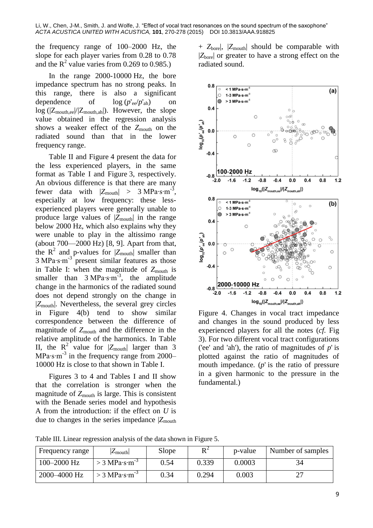the frequency range of 100–2000 Hz, the slope for each player varies from 0.28 to 0.78 and the  $R^2$  value varies from 0.269 to 0.985.)

In the range 2000-10000 Hz, the bore impedance spectrum has no strong peaks. In this range, there is also a significant dependence of  $\log (p'_{ee}/p'_{ah})$  on log (|Zmouth,ee|/|Zmouth,ah|). However, the slope value obtained in the regression analysis shows a weaker effect of the  $Z_{\text{mouth}}$  on the radiated sound than that in the lower frequency range.

Table II and Figure 4 present the data for the less experienced players, in the same format as Table I and Figure 3, respectively. An obvious difference is that there are many fewer data with  $|Z_{\text{mouth}}| > 3 \text{ MPa·s·m}^{-3}$ , especially at low frequency: these lessexperienced players were generally unable to produce large values of  $|Z_{\text{mouth}}|$  in the range below 2000 Hz, which also explains why they were unable to play in the altissimo range (about 700—2000 Hz) [8, 9]. Apart from that, the  $R^2$  and p-values for  $|Z_{\text{mouth}}|$  smaller than 3 MPa∙s∙m-3 present similar features as those in Table I: when the magnitude of  $Z_{\text{mouth}}$  is smaller than 3 MPa⋅s⋅m<sup>-3</sup>, the amplitude change in the harmonics of the radiated sound does not depend strongly on the change in |*Z*mouth|. Nevertheless, the several grey circles in Figure 4(b) tend to show similar correspondence between the difference of magnitude of  $Z_{\text{mouth}}$  and the difference in the relative amplitude of the harmonics. In Table II, the  $R^2$  value for  $|Z_{\text{mouth}}|$  larger than 3 MPa⋅s⋅m<sup>-3</sup> in the frequency range from 2000– 10000 Hz is close to that shown in Table I.

Figures 3 to 4 and Tables I and II show that the correlation is stronger when the magnitude of  $Z_{\text{mouth}}$  is large. This is consistent with the Benade series model and hypothesis A from the introduction: if the effect on *U* is due to changes in the series impedance  $|Z_{\text{mouth}}|$ 

+ *Z*bore|, |*Z*mouth| should be comparable with |*Z*bore| or greater to have a strong effect on the radiated sound.



Figure 4. Changes in vocal tract impedance and changes in the sound produced by less experienced players for all the notes (*cf.* Fig 3). For two different vocal tract configurations ('ee' and 'ah'), the ratio of magnitudes of *p*' is plotted against the ratio of magnitudes of mouth impedance. (*p*' is the ratio of pressure in a given harmonic to the pressure in the fundamental.)

Table III. Linear regression analysis of the data shown in Figure 5.

| Frequency range | $\mathcal{L}_{\text{mouth}}$ | Slope | D 4   | p-value | Number of samples        |
|-----------------|------------------------------|-------|-------|---------|--------------------------|
| 100-2000 Hz     | $>$ 3 MPa·s·m <sup>-3</sup>  | 0.54  | 0.339 | 0.0003  |                          |
| 2000–4000 Hz    | > 3 MPa·s·m <sup>-3</sup>    | 0.34  | 0.294 | 0.003   | $\overline{\phantom{a}}$ |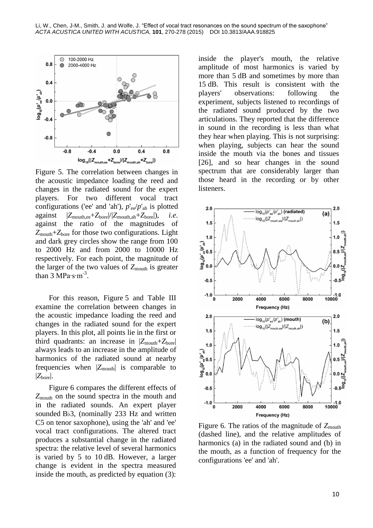

Figure 5. The correlation between changes in the acoustic impedance loading the reed and changes in the radiated sound for the expert players. For two different vocal tract configurations ('ee' and 'ah'),  $p'_{ee}/p'_{ah}$  is plotted against |*Z*mouth,ee+*Z*bore|/|*Z*mouth,ah+*Z*bore|), *i.e*. against the ratio of the magnitudes of *Z*mouth+*Z*bore for those two configurations. Light and dark grey circles show the range from 100 to 2000 Hz and from 2000 to 10000 Hz respectively. For each point, the magnitude of the larger of the two values of  $Z_{\text{mouth}}$  is greater than  $3 \text{ MPa·s·m}^{-3}$ .

For this reason, Figure 5 and Table III examine the correlation between changes in the acoustic impedance loading the reed and changes in the radiated sound for the expert players. In this plot, all points lie in the first or third quadrants: an increase in  $|Z_{\text{mouth}}+Z_{\text{bore}}|$ always leads to an increase in the amplitude of harmonics of the radiated sound at nearby frequencies when  $|Z_{\text{mouth}}|$  is comparable to |*Z*bore|.

Figure 6 compares the different effects of *Z*mouth on the sound spectra in the mouth and in the radiated sounds. An expert player sounded B♭3, (nominally 233 Hz and written C5 on tenor saxophone), using the 'ah' and 'ee' vocal tract configurations. The altered tract produces a substantial change in the radiated spectra: the relative level of several harmonics is varied by 5 to 10 dB. However, a larger change is evident in the spectra measured inside the mouth, as predicted by equation (3):

inside the player's mouth, the relative amplitude of most harmonics is varied by more than 5 dB and sometimes by more than 15 dB. This result is consistent with the players' observations: following the experiment, subjects listened to recordings of the radiated sound produced by the two articulations. They reported that the difference in sound in the recording is less than what they hear when playing. This is not surprising: when playing, subjects can hear the sound inside the mouth via the bones and tissues [26], and so hear changes in the sound spectrum that are considerably larger than those heard in the recording or by other listeners.



Figure 6. The ratios of the magnitude of  $Z_{\text{mouth}}$ (dashed line), and the relative amplitudes of harmonics (a) in the radiated sound and (b) in the mouth, as a function of frequency for the configurations 'ee' and 'ah'.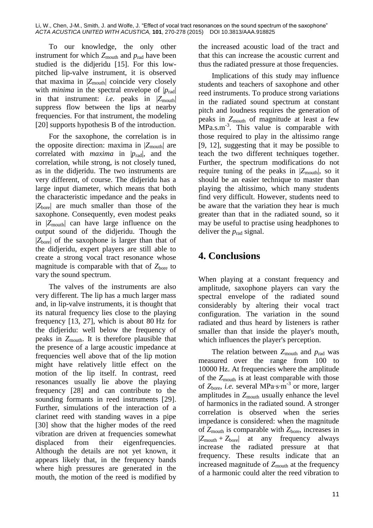To our knowledge, the only other instrument for which  $Z_{\text{mouth}}$  and  $p_{\text{rad}}$  have been studied is the didjeridu [15]. For this lowpitched lip-valve instrument, it is observed that maxima in  $|Z_{\text{mouth}}|$  coincide very closely with *minima* in the spectral envelope of  $|p_{rad}|$ in that instrument: *i.e.* peaks in  $|Z_{\text{mouth}}|$ suppress flow between the lips at nearby frequencies. For that instrument, the modeling [20] supports hypothesis B of the introduction.

For the saxophone, the correlation is in the opposite direction: maxima in  $|Z_{\text{mouth}}|$  are correlated with *maxima* in |*p*rad|, and the correlation, while strong, is not closely tuned, as in the didjeridu. The two instruments are very different, of course. The didjeridu has a large input diameter, which means that both the characteristic impedance and the peaks in |*Z*bore| are much smaller than those of the saxophone. Consequently, even modest peaks in |*Z*mouth| can have large influence on the output sound of the didjeridu. Though the |*Z*bore| of the saxophone is larger than that of the didjeridu, expert players are still able to create a strong vocal tract resonance whose magnitude is comparable with that of  $Z<sub>bore</sub>$  to vary the sound spectrum.

The valves of the instruments are also very different. The lip has a much larger mass and, in lip-valve instruments, it is thought that its natural frequency lies close to the playing frequency [13, 27], which is about 80 Hz for the didjeridu: well below the frequency of peaks in *Z*mouth. It is therefore plausible that the presence of a large acoustic impedance at frequencies well above that of the lip motion might have relatively little effect on the motion of the lip itself. In contrast, reed resonances usually lie above the playing frequency [28] and can contribute to the sounding formants in reed instruments [29]. Further, simulations of the interaction of a clarinet reed with standing waves in a pipe [30] show that the higher modes of the reed vibration are driven at frequencies somewhat displaced from their eigenfrequencies. Although the details are not yet known, it appears likely that, in the frequency bands where high pressures are generated in the mouth, the motion of the reed is modified by

the increased acoustic load of the tract and that this can increase the acoustic current and thus the radiated pressure at those frequencies.

Implications of this study may influence students and teachers of saxophone and other reed instruments. To produce strong variations in the radiated sound spectrum at constant pitch and loudness requires the generation of peaks in *Z*mouth of magnitude at least a few  $MPa.s.m<sup>-3</sup>$ . This value is comparable with those required to play in the altissimo range [9, 12], suggesting that it may be possible to teach the two different techniques together. Further, the spectrum modifications do not require tuning of the peaks in  $|Z_{\text{mouth}}|$ , so it should be an easier technique to master than playing the altissimo, which many students find very difficult. However, students need to be aware that the variation they hear is much greater than that in the radiated sound, so it may be useful to practise using headphones to deliver the  $p_{rad}$  signal.

## **4. Conclusions**

When playing at a constant frequency and amplitude, saxophone players can vary the spectral envelope of the radiated sound considerably by altering their vocal tract configuration. The variation in the sound radiated and thus heard by listeners is rather smaller than that inside the player's mouth, which influences the player's perception.

The relation between  $Z_{\text{mouth}}$  and  $p_{\text{rad}}$  was measured over the range from 100 to 10000 Hz. At frequencies where the amplitude of the *Z*mouth is at least comparable with those of *Z*bore, *i.e.* several MPa∙s∙m-3 or more, larger amplitudes in  $Z_{\text{mouth}}$  usually enhance the level of harmonics in the radiated sound. A stronger correlation is observed when the series impedance is considered: when the magnitude of  $Z_{\text{mouth}}$  is comparable with  $Z_{\text{bore}}$ , increases in |*Z*mouth + *Z*bore| at any frequency always increase the radiated pressure at that frequency. These results indicate that an increased magnitude of Z<sub>mouth</sub> at the frequency of a harmonic could alter the reed vibration to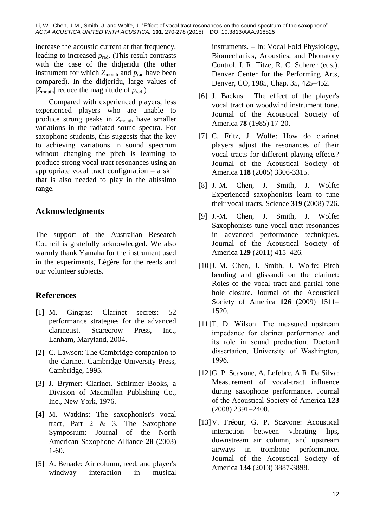increase the acoustic current at that frequency, leading to increased *p*rad. (This result contrasts with the case of the didjeridu (the other instrument for which  $Z_{\text{mouth}}$  and  $p_{\text{rad}}$  have been compared). In the didjeridu, large values of  $|Z_{\text{mouth}}|$  reduce the magnitude of  $p_{\text{rad}}$ .)

Compared with experienced players, less experienced players who are unable to produce strong peaks in  $Z_{\text{mouth}}$  have smaller variations in the radiated sound spectra. For saxophone students, this suggests that the key to achieving variations in sound spectrum without changing the pitch is learning to produce strong vocal tract resonances using an appropriate vocal tract configuration – a skill that is also needed to play in the altissimo range.

#### **Acknowledgments**

The support of the Australian Research Council is gratefully acknowledged. We also warmly thank Yamaha for the instrument used in the experiments, Légère for the reeds and our volunteer subjects.

#### **References**

- [1] M. Gingras: Clarinet secrets: 52 performance strategies for the advanced clarinetist. Scarecrow Press, Inc., Lanham, Maryland, 2004.
- [2] C. Lawson: The Cambridge companion to the clarinet. Cambridge University Press, Cambridge, 1995.
- [3] J. Brymer: Clarinet. Schirmer Books, a Division of Macmillan Publishing Co., Inc., New York, 1976.
- [4] M. Watkins: The saxophonist's vocal tract, Part 2 & 3. The Saxophone Symposium: Journal of the North American Saxophone Alliance **28** (2003) 1-60.
- [5] A. Benade: Air column, reed, and player's windway interaction in musical

instruments. – In: Vocal Fold Physiology, Biomechanics, Acoustics, and Phonatory Control. I. R. Titze, R. C. Scherer (eds.). Denver Center for the Performing Arts, Denver, CO, 1985, Chap. 35, 425–452.

- [6] J. Backus: The effect of the player's vocal tract on woodwind instrument tone. Journal of the Acoustical Society of America **78** (1985) 17-20.
- [7] C. Fritz, J. Wolfe: How do clarinet players adjust the resonances of their vocal tracts for different playing effects? Journal of the Acoustical Society of America **118** (2005) 3306-3315.
- [8] J.-M. Chen, J. Smith, J. Wolfe: Experienced saxophonists learn to tune their vocal tracts. Science **319** (2008) 726.
- [9] J.-M. Chen, J. Smith, J. Wolfe: Saxophonists tune vocal tract resonances in advanced performance techniques. Journal of the Acoustical Society of America **129** (2011) 415–426.
- [10] J.-M. Chen, J. Smith, J. Wolfe: Pitch bending and glissandi on the clarinet: Roles of the vocal tract and partial tone hole closure. Journal of the Acoustical Society of America **126** (2009) 1511– 1520.
- [11]T. D. Wilson: The measured upstream impedance for clarinet performance and its role in sound production. Doctoral dissertation, University of Washington, 1996.
- [12]G. P. Scavone, A. Lefebre, A.R. Da Silva: Measurement of vocal-tract influence during saxophone performance. Journal of the Acoustical Society of America **123** (2008) 2391–2400.
- [13]V. Fréour, G. [P. Scavone:](https://www.researchgate.net/researcher/8681230_Gary_P_Scavone) Acoustical interaction between vibrating lips, downstream air column, and upstream airways in trombone performance. Journal of the Acoustical Society of America **134** (2013) 3887-3898.